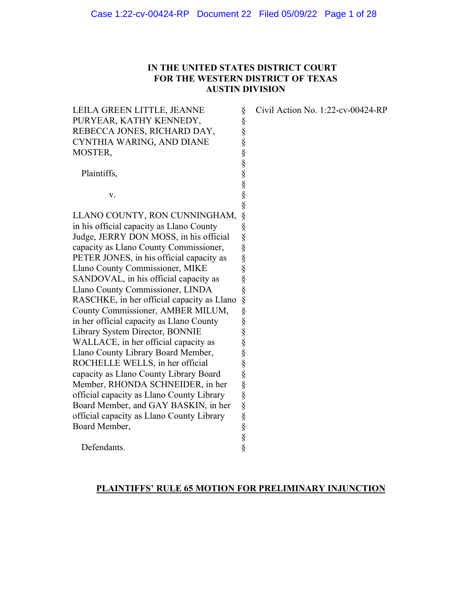## **IN THE UNITED STATES DISTRICT COURT FOR THE WESTERN DISTRICT OF TEXAS AUSTIN DIVISION**

§ § § § § § § § § §

Civil Action No. 1:22-cv-00424-RP

LEILA GREEN LITTLE, JEANNE PURYEAR, KATHY KENNEDY, REBECCA JONES, RICHARD DAY, CYNTHIA WARING, AND DIANE MOSTER,

Plaintiffs,

v.

LLANO COUNTY, RON CUNNINGHAM, in his official capacity as Llano County Judge, JERRY DON MOSS, in his official capacity as Llano County Commissioner, PETER JONES, in his official capacity as Llano County Commissioner, MIKE SANDOVAL, in his official capacity as Llano County Commissioner, LINDA RASCHKE, in her official capacity as Llano County Commissioner, AMBER MILUM, in her official capacity as Llano County Library System Director, BONNIE WALLACE, in her official capacity as Llano County Library Board Member, ROCHELLE WELLS, in her official capacity as Llano County Library Board Member, RHONDA SCHNEIDER, in her official capacity as Llano County Library Board Member, and GAY BASKIN, in her official capacity as Llano County Library Board Member, § § § § § § § § § § § § § § § § § § § §

Defendants.

#### **PLAINTIFFS' RULE 65 MOTION FOR PRELIMINARY INJUNCTION**

§ §

§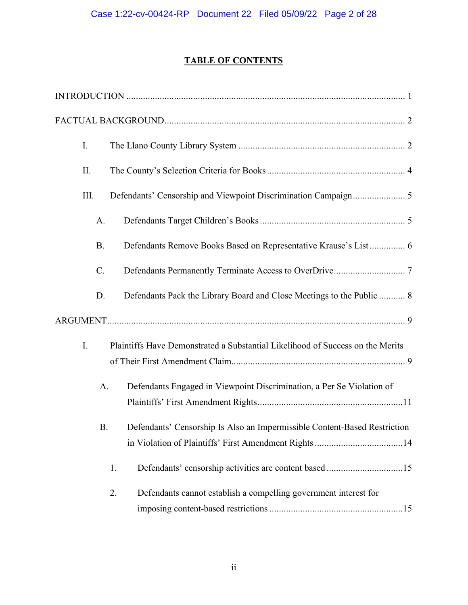# **TABLE OF CONTENTS**

| I. |           |                                                                                |
|----|-----------|--------------------------------------------------------------------------------|
|    | II.       |                                                                                |
|    | III.      |                                                                                |
|    | A.        |                                                                                |
|    | <b>B.</b> | Defendants Remove Books Based on Representative Krause's List 6                |
|    | C.        |                                                                                |
|    | D.        | Defendants Pack the Library Board and Close Meetings to the Public  8          |
|    |           |                                                                                |
| I. |           | Plaintiffs Have Demonstrated a Substantial Likelihood of Success on the Merits |
|    |           |                                                                                |
|    | A.        | Defendants Engaged in Viewpoint Discrimination, a Per Se Violation of          |
|    |           |                                                                                |
|    | <b>B.</b> | Defendants' Censorship Is Also an Impermissible Content-Based Restriction      |
|    |           |                                                                                |
|    |           | 1.                                                                             |
|    |           | 2.<br>Defendants cannot establish a compelling government interest for         |
|    |           |                                                                                |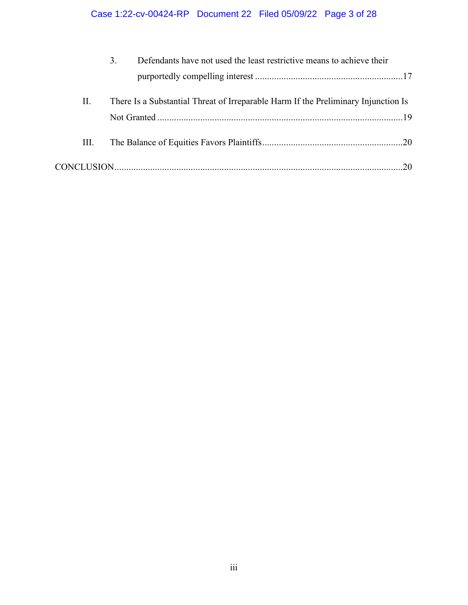# Case 1:22-cv-00424-RP Document 22 Filed 05/09/22 Page 3 of 28

|    | 3. | Defendants have not used the least restrictive means to achieve their              |  |
|----|----|------------------------------------------------------------------------------------|--|
|    |    |                                                                                    |  |
| П. |    | There Is a Substantial Threat of Irreparable Harm If the Preliminary Injunction Is |  |
|    |    |                                                                                    |  |
| Ш. |    |                                                                                    |  |
|    |    |                                                                                    |  |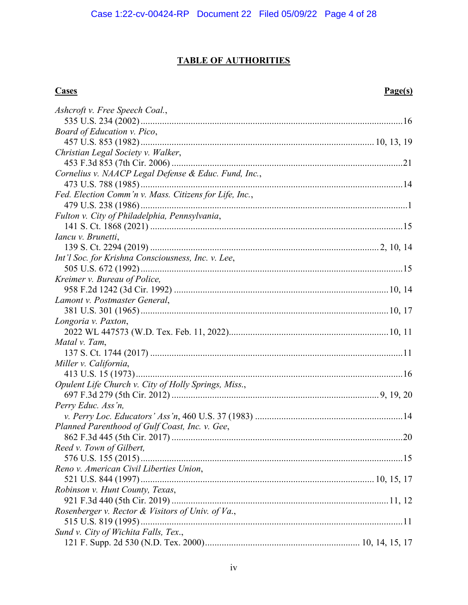# **TABLE OF AUTHORITIES**

#### **Cases Page(s)**

| Ashcroft v. Free Speech Coal.,                         |  |
|--------------------------------------------------------|--|
|                                                        |  |
| Board of Education v. Pico,                            |  |
|                                                        |  |
| Christian Legal Society v. Walker,                     |  |
|                                                        |  |
| Cornelius v. NAACP Legal Defense & Educ. Fund, Inc.,   |  |
|                                                        |  |
| Fed. Election Comm'n v. Mass. Citizens for Life, Inc., |  |
|                                                        |  |
| Fulton v. City of Philadelphia, Pennsylvania,          |  |
|                                                        |  |
| Iancu v. Brunetti,                                     |  |
|                                                        |  |
| Int'l Soc. for Krishna Consciousness, Inc. v. Lee,     |  |
|                                                        |  |
| Kreimer v. Bureau of Police,                           |  |
|                                                        |  |
| Lamont v. Postmaster General,                          |  |
|                                                        |  |
| Longoria v. Paxton,                                    |  |
|                                                        |  |
| Matal v. Tam,                                          |  |
|                                                        |  |
| Miller v. California,                                  |  |
|                                                        |  |
| Opulent Life Church v. City of Holly Springs, Miss.,   |  |
|                                                        |  |
| Perry Educ. Ass'n,                                     |  |
|                                                        |  |
| Planned Parenthood of Gulf Coast, Inc. v. Gee,         |  |
|                                                        |  |
| Reed v. Town of Gilbert,                               |  |
|                                                        |  |
| Reno v. American Civil Liberties Union,                |  |
|                                                        |  |
| Robinson v. Hunt County, Texas,                        |  |
|                                                        |  |
| Rosenberger v. Rector & Visitors of Univ. of Va.,      |  |
|                                                        |  |
| Sund v. City of Wichita Falls, Tex.,                   |  |
|                                                        |  |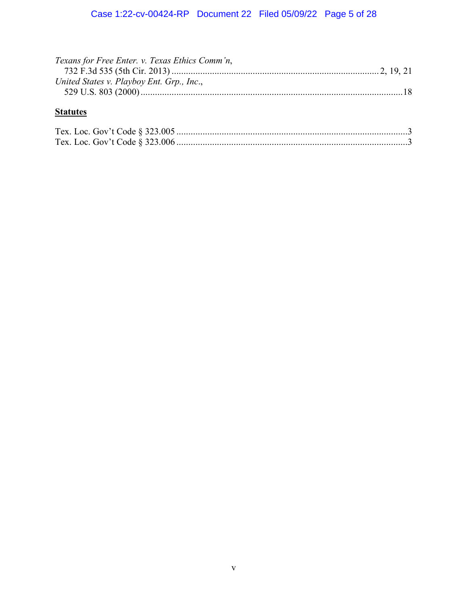| Texans for Free Enter. v. Texas Ethics Comm'n, |  |
|------------------------------------------------|--|
|                                                |  |
| United States v. Playboy Ent. Grp., Inc.,      |  |
|                                                |  |

# **Statutes**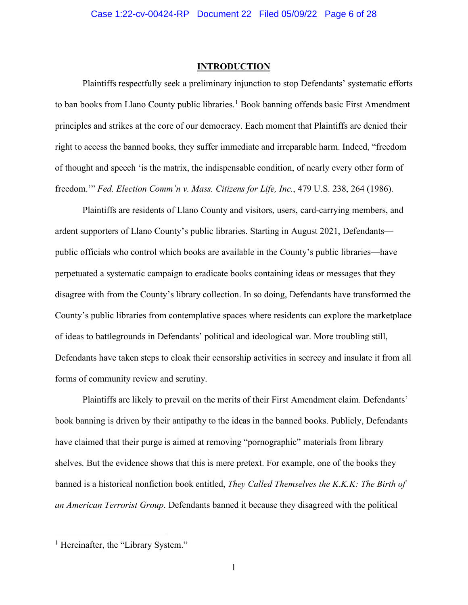#### **INTRODUCTION**

<span id="page-5-0"></span>Plaintiffs respectfully seek a preliminary injunction to stop Defendants' systematic efforts to ban books from Llano County public libraries.<sup>[1](#page-5-1)</sup> Book banning offends basic First Amendment principles and strikes at the core of our democracy. Each moment that Plaintiffs are denied their right to access the banned books, they suffer immediate and irreparable harm. Indeed, "freedom of thought and speech 'is the matrix, the indispensable condition, of nearly every other form of freedom.'" *Fed. Election Comm'n v. Mass. Citizens for Life, Inc.*, 479 U.S. 238, 264 (1986).

Plaintiffs are residents of Llano County and visitors, users, card-carrying members, and ardent supporters of Llano County's public libraries. Starting in August 2021, Defendants public officials who control which books are available in the County's public libraries—have perpetuated a systematic campaign to eradicate books containing ideas or messages that they disagree with from the County's library collection. In so doing, Defendants have transformed the County's public libraries from contemplative spaces where residents can explore the marketplace of ideas to battlegrounds in Defendants' political and ideological war. More troubling still, Defendants have taken steps to cloak their censorship activities in secrecy and insulate it from all forms of community review and scrutiny.

Plaintiffs are likely to prevail on the merits of their First Amendment claim. Defendants' book banning is driven by their antipathy to the ideas in the banned books. Publicly, Defendants have claimed that their purge is aimed at removing "pornographic" materials from library shelves. But the evidence shows that this is mere pretext. For example, one of the books they banned is a historical nonfiction book entitled, *They Called Themselves the K.K.K: The Birth of an American Terrorist Group*. Defendants banned it because they disagreed with the political

<span id="page-5-1"></span><sup>&</sup>lt;sup>1</sup> Hereinafter, the "Library System."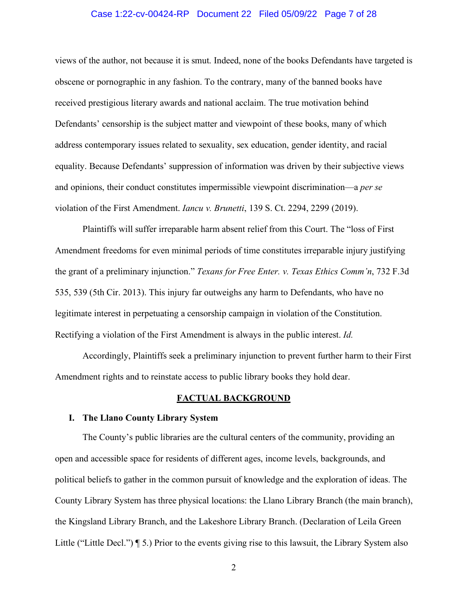#### Case 1:22-cv-00424-RP Document 22 Filed 05/09/22 Page 7 of 28

views of the author, not because it is smut. Indeed, none of the books Defendants have targeted is obscene or pornographic in any fashion. To the contrary, many of the banned books have received prestigious literary awards and national acclaim. The true motivation behind Defendants' censorship is the subject matter and viewpoint of these books, many of which address contemporary issues related to sexuality, sex education, gender identity, and racial equality. Because Defendants' suppression of information was driven by their subjective views and opinions, their conduct constitutes impermissible viewpoint discrimination—a *per se* violation of the First Amendment. *Iancu v. Brunetti*, 139 S. Ct. 2294, 2299 (2019).

Plaintiffs will suffer irreparable harm absent relief from this Court. The "loss of First Amendment freedoms for even minimal periods of time constitutes irreparable injury justifying the grant of a preliminary injunction." *Texans for Free Enter. v. Texas Ethics Comm'n*, 732 F.3d 535, 539 (5th Cir. 2013). This injury far outweighs any harm to Defendants, who have no legitimate interest in perpetuating a censorship campaign in violation of the Constitution. Rectifying a violation of the First Amendment is always in the public interest. *Id.*

Accordingly, Plaintiffs seek a preliminary injunction to prevent further harm to their First Amendment rights and to reinstate access to public library books they hold dear.

#### **FACTUAL BACKGROUND**

#### <span id="page-6-1"></span><span id="page-6-0"></span>**I. The Llano County Library System**

The County's public libraries are the cultural centers of the community, providing an open and accessible space for residents of different ages, income levels, backgrounds, and political beliefs to gather in the common pursuit of knowledge and the exploration of ideas. The County Library System has three physical locations: the Llano Library Branch (the main branch), the Kingsland Library Branch, and the Lakeshore Library Branch. (Declaration of Leila Green Little ("Little Decl.") ¶ 5.) Prior to the events giving rise to this lawsuit, the Library System also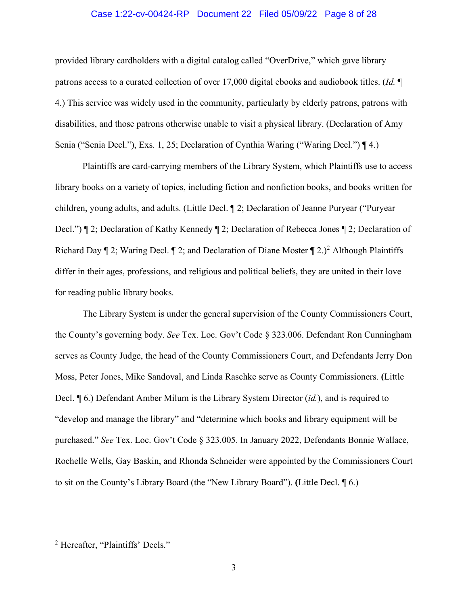#### Case 1:22-cv-00424-RP Document 22 Filed 05/09/22 Page 8 of 28

provided library cardholders with a digital catalog called "OverDrive," which gave library patrons access to a curated collection of over 17,000 digital ebooks and audiobook titles. (*Id.* ¶ 4.) This service was widely used in the community, particularly by elderly patrons, patrons with disabilities, and those patrons otherwise unable to visit a physical library. (Declaration of Amy Senia ("Senia Decl."), Exs. 1, 25; Declaration of Cynthia Waring ("Waring Decl.") ¶ 4.)

Plaintiffs are card-carrying members of the Library System, which Plaintiffs use to access library books on a variety of topics, including fiction and nonfiction books, and books written for children, young adults, and adults. (Little Decl. ¶ 2; Declaration of Jeanne Puryear ("Puryear Decl.") ¶ 2; Declaration of Kathy Kennedy ¶ 2; Declaration of Rebecca Jones ¶ 2; Declaration of Richard Day  $\llbracket 2$  $\llbracket 2$ ; Waring Decl.  $\llbracket 2$ ; and Declaration of Diane Moster  $\llbracket 2.$ )<sup>2</sup> Although Plaintiffs differ in their ages, professions, and religious and political beliefs, they are united in their love for reading public library books.

The Library System is under the general supervision of the County Commissioners Court, the County's governing body. *See* Tex. Loc. Gov't Code § 323.006. Defendant Ron Cunningham serves as County Judge, the head of the County Commissioners Court, and Defendants Jerry Don Moss, Peter Jones, Mike Sandoval, and Linda Raschke serve as County Commissioners. **(**Little Decl. ¶ 6.) Defendant Amber Milum is the Library System Director (*id.*), and is required to "develop and manage the library" and "determine which books and library equipment will be purchased." *See* Tex. Loc. Gov't Code § 323.005. In January 2022, Defendants Bonnie Wallace, Rochelle Wells, Gay Baskin, and Rhonda Schneider were appointed by the Commissioners Court to sit on the County's Library Board (the "New Library Board"). **(**Little Decl. ¶ 6.)

<span id="page-7-0"></span><sup>2</sup> Hereafter, "Plaintiffs' Decls."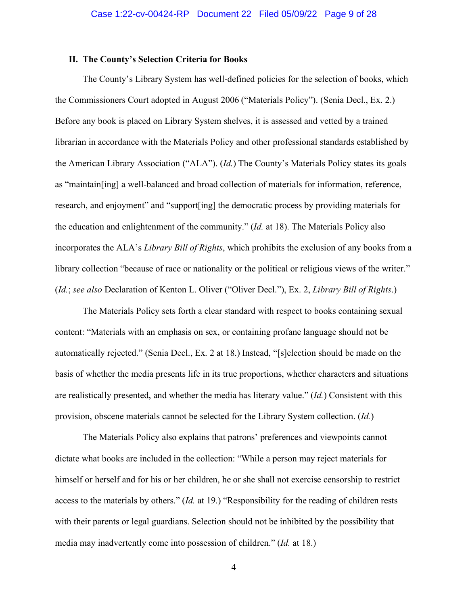### <span id="page-8-0"></span>**II. The County's Selection Criteria for Books**

The County's Library System has well-defined policies for the selection of books, which the Commissioners Court adopted in August 2006 ("Materials Policy"). (Senia Decl., Ex. 2.) Before any book is placed on Library System shelves, it is assessed and vetted by a trained librarian in accordance with the Materials Policy and other professional standards established by the American Library Association ("ALA"). (*Id.*) The County's Materials Policy states its goals as "maintain[ing] a well-balanced and broad collection of materials for information, reference, research, and enjoyment" and "support[ing] the democratic process by providing materials for the education and enlightenment of the community." (*Id.* at 18). The Materials Policy also incorporates the ALA's *Library Bill of Rights*, which prohibits the exclusion of any books from a library collection "because of race or nationality or the political or religious views of the writer." (*Id.*; *see also* Declaration of Kenton L. Oliver ("Oliver Decl."), Ex. 2, *Library Bill of Rights*.)

The Materials Policy sets forth a clear standard with respect to books containing sexual content: "Materials with an emphasis on sex, or containing profane language should not be automatically rejected." (Senia Decl., Ex. 2 at 18.) Instead, "[s]election should be made on the basis of whether the media presents life in its true proportions, whether characters and situations are realistically presented, and whether the media has literary value." (*Id.*) Consistent with this provision, obscene materials cannot be selected for the Library System collection. (*Id.*)

The Materials Policy also explains that patrons' preferences and viewpoints cannot dictate what books are included in the collection: "While a person may reject materials for himself or herself and for his or her children, he or she shall not exercise censorship to restrict access to the materials by others." (*Id.* at 19.) "Responsibility for the reading of children rests with their parents or legal guardians. Selection should not be inhibited by the possibility that media may inadvertently come into possession of children." (*Id.* at 18.)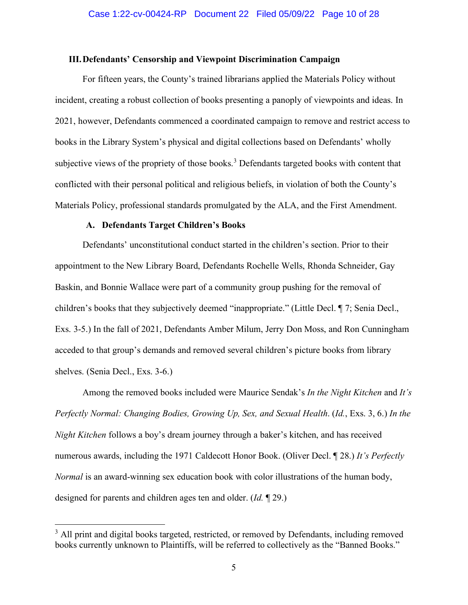#### <span id="page-9-0"></span>**III.Defendants' Censorship and Viewpoint Discrimination Campaign**

For fifteen years, the County's trained librarians applied the Materials Policy without incident, creating a robust collection of books presenting a panoply of viewpoints and ideas. In 2021, however, Defendants commenced a coordinated campaign to remove and restrict access to books in the Library System's physical and digital collections based on Defendants' wholly subjective views of the propriety of those books.<sup>[3](#page-9-2)</sup> Defendants targeted books with content that conflicted with their personal political and religious beliefs, in violation of both the County's Materials Policy, professional standards promulgated by the ALA, and the First Amendment.

#### **A. Defendants Target Children's Books**

<span id="page-9-1"></span>Defendants' unconstitutional conduct started in the children's section. Prior to their appointment to the New Library Board, Defendants Rochelle Wells, Rhonda Schneider, Gay Baskin, and Bonnie Wallace were part of a community group pushing for the removal of children's books that they subjectively deemed "inappropriate." (Little Decl. ¶ 7; Senia Decl., Exs. 3-5.) In the fall of 2021, Defendants Amber Milum, Jerry Don Moss, and Ron Cunningham acceded to that group's demands and removed several children's picture books from library shelves. (Senia Decl., Exs. 3-6.)

Among the removed books included were Maurice Sendak's *In the Night Kitchen* and *It's Perfectly Normal: Changing Bodies, Growing Up, Sex, and Sexual Health*. (*Id.*, Exs. 3, 6.) *In the Night Kitchen* follows a boy's dream journey through a baker's kitchen, and has received numerous awards, including the 1971 Caldecott Honor Book. (Oliver Decl. ¶ 28.) *It's Perfectly Normal* is an award-winning sex education book with color illustrations of the human body, designed for parents and children ages ten and older. (*Id.* ¶ 29.)

<span id="page-9-2"></span> $3$  All print and digital books targeted, restricted, or removed by Defendants, including removed books currently unknown to Plaintiffs, will be referred to collectively as the "Banned Books."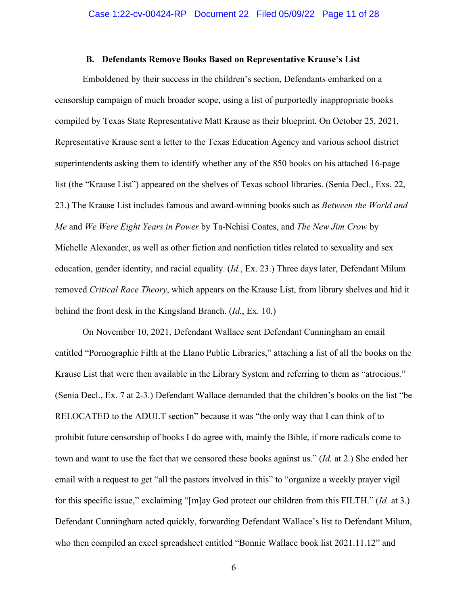#### **B. Defendants Remove Books Based on Representative Krause's List**

<span id="page-10-0"></span>Emboldened by their success in the children's section, Defendants embarked on a censorship campaign of much broader scope, using a list of purportedly inappropriate books compiled by Texas State Representative Matt Krause as their blueprint. On October 25, 2021, Representative Krause sent a letter to the Texas Education Agency and various school district superintendents asking them to identify whether any of the 850 books on his attached 16-page list (the "Krause List") appeared on the shelves of Texas school libraries. (Senia Decl., Exs. 22, 23.) The Krause List includes famous and award-winning books such as *Between the World and Me* and *We Were Eight Years in Power* by Ta-Nehisi Coates, and *The New Jim Crow* by Michelle Alexander, as well as other fiction and nonfiction titles related to sexuality and sex education, gender identity, and racial equality. (*Id.*, Ex. 23.) Three days later, Defendant Milum removed *Critical Race Theory*, which appears on the Krause List, from library shelves and hid it behind the front desk in the Kingsland Branch. (*Id.*, Ex. 10.)

On November 10, 2021, Defendant Wallace sent Defendant Cunningham an email entitled "Pornographic Filth at the Llano Public Libraries," attaching a list of all the books on the Krause List that were then available in the Library System and referring to them as "atrocious." (Senia Decl., Ex. 7 at 2-3.) Defendant Wallace demanded that the children's books on the list "be RELOCATED to the ADULT section" because it was "the only way that I can think of to prohibit future censorship of books I do agree with, mainly the Bible, if more radicals come to town and want to use the fact that we censored these books against us." (*Id.* at 2.) She ended her email with a request to get "all the pastors involved in this" to "organize a weekly prayer vigil for this specific issue," exclaiming "[m]ay God protect our children from this FILTH." (*Id.* at 3.) Defendant Cunningham acted quickly, forwarding Defendant Wallace's list to Defendant Milum, who then compiled an excel spreadsheet entitled "Bonnie Wallace book list 2021.11.12" and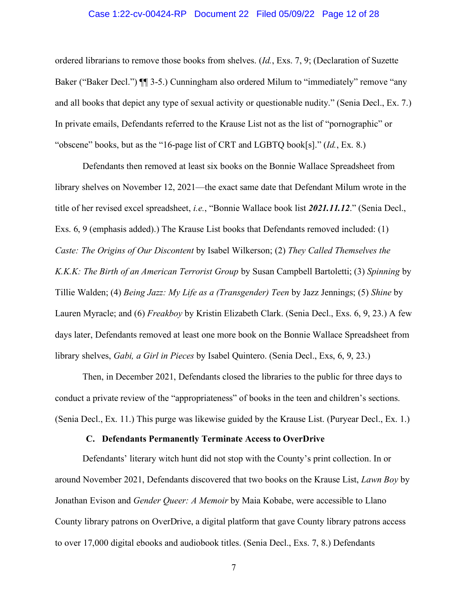#### Case 1:22-cv-00424-RP Document 22 Filed 05/09/22 Page 12 of 28

ordered librarians to remove those books from shelves. (*Id.*, Exs. 7, 9; (Declaration of Suzette Baker ("Baker Decl.")  $\P$  3-5.) Cunningham also ordered Milum to "immediately" remove "any and all books that depict any type of sexual activity or questionable nudity." (Senia Decl., Ex. 7.) In private emails, Defendants referred to the Krause List not as the list of "pornographic" or "obscene" books, but as the "16-page list of CRT and LGBTQ book[s]." (*Id.*, Ex. 8.)

Defendants then removed at least six books on the Bonnie Wallace Spreadsheet from library shelves on November 12, 2021—the exact same date that Defendant Milum wrote in the title of her revised excel spreadsheet, *i.e.*, "Bonnie Wallace book list *2021.11.12*." (Senia Decl., Exs. 6, 9 (emphasis added).) The Krause List books that Defendants removed included: (1) *Caste: The Origins of Our Discontent* by Isabel Wilkerson; (2) *They Called Themselves the K.K.K: The Birth of an American Terrorist Group* by Susan Campbell Bartoletti; (3) *Spinning* by Tillie Walden; (4) *Being Jazz: My Life as a (Transgender) Teen* by Jazz Jennings; (5) *Shine* by Lauren Myracle; and (6) *Freakboy* by Kristin Elizabeth Clark. (Senia Decl., Exs. 6, 9, 23.) A few days later, Defendants removed at least one more book on the Bonnie Wallace Spreadsheet from library shelves, *Gabi, a Girl in Pieces* by Isabel Quintero. (Senia Decl., Exs, 6, 9, 23.)

Then, in December 2021, Defendants closed the libraries to the public for three days to conduct a private review of the "appropriateness" of books in the teen and children's sections. (Senia Decl., Ex. 11.) This purge was likewise guided by the Krause List. (Puryear Decl., Ex. 1.)

#### **C. Defendants Permanently Terminate Access to OverDrive**

<span id="page-11-0"></span>Defendants' literary witch hunt did not stop with the County's print collection. In or around November 2021, Defendants discovered that two books on the Krause List, *Lawn Boy* by Jonathan Evison and *Gender Queer: A Memoir* by Maia Kobabe, were accessible to Llano County library patrons on OverDrive, a digital platform that gave County library patrons access to over 17,000 digital ebooks and audiobook titles. (Senia Decl., Exs. 7, 8.) Defendants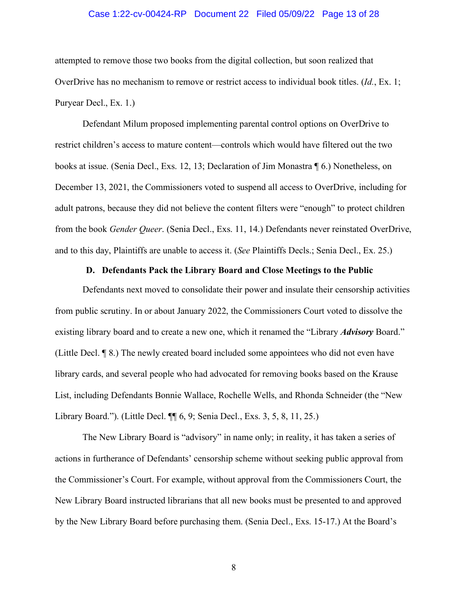#### Case 1:22-cv-00424-RP Document 22 Filed 05/09/22 Page 13 of 28

attempted to remove those two books from the digital collection, but soon realized that OverDrive has no mechanism to remove or restrict access to individual book titles. (*Id.*, Ex. 1; Puryear Decl., Ex. 1.)

Defendant Milum proposed implementing parental control options on OverDrive to restrict children's access to mature content—controls which would have filtered out the two books at issue. (Senia Decl., Exs. 12, 13; Declaration of Jim Monastra ¶ 6.) Nonetheless, on December 13, 2021, the Commissioners voted to suspend all access to OverDrive, including for adult patrons, because they did not believe the content filters were "enough" to protect children from the book *Gender Queer*. (Senia Decl., Exs. 11, 14.) Defendants never reinstated OverDrive, and to this day, Plaintiffs are unable to access it. (*See* Plaintiffs Decls.; Senia Decl., Ex. 25.)

#### **D. Defendants Pack the Library Board and Close Meetings to the Public**

<span id="page-12-0"></span>Defendants next moved to consolidate their power and insulate their censorship activities from public scrutiny. In or about January 2022, the Commissioners Court voted to dissolve the existing library board and to create a new one, which it renamed the "Library *Advisory* Board." (Little Decl. ¶ 8.) The newly created board included some appointees who did not even have library cards, and several people who had advocated for removing books based on the Krause List, including Defendants Bonnie Wallace, Rochelle Wells, and Rhonda Schneider (the "New Library Board."). (Little Decl. ¶¶ 6, 9; Senia Decl., Exs. 3, 5, 8, 11, 25.)

The New Library Board is "advisory" in name only; in reality, it has taken a series of actions in furtherance of Defendants' censorship scheme without seeking public approval from the Commissioner's Court. For example, without approval from the Commissioners Court, the New Library Board instructed librarians that all new books must be presented to and approved by the New Library Board before purchasing them. (Senia Decl., Exs. 15-17.) At the Board's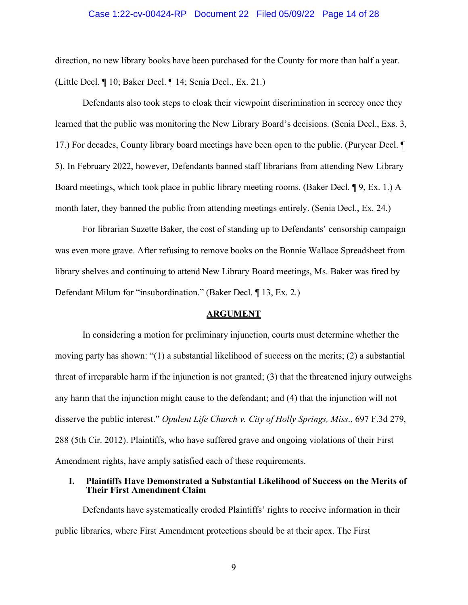#### Case 1:22-cv-00424-RP Document 22 Filed 05/09/22 Page 14 of 28

direction, no new library books have been purchased for the County for more than half a year. (Little Decl. ¶ 10; Baker Decl. ¶ 14; Senia Decl., Ex. 21.)

Defendants also took steps to cloak their viewpoint discrimination in secrecy once they learned that the public was monitoring the New Library Board's decisions. (Senia Decl., Exs. 3, 17.) For decades, County library board meetings have been open to the public. (Puryear Decl. ¶ 5). In February 2022, however, Defendants banned staff librarians from attending New Library Board meetings, which took place in public library meeting rooms. (Baker Decl. ¶ 9, Ex. 1.) A month later, they banned the public from attending meetings entirely. (Senia Decl., Ex. 24.)

For librarian Suzette Baker, the cost of standing up to Defendants' censorship campaign was even more grave. After refusing to remove books on the Bonnie Wallace Spreadsheet from library shelves and continuing to attend New Library Board meetings, Ms. Baker was fired by Defendant Milum for "insubordination." (Baker Decl. ¶ 13, Ex. 2.)

#### **ARGUMENT**

<span id="page-13-0"></span>In considering a motion for preliminary injunction, courts must determine whether the moving party has shown: "(1) a substantial likelihood of success on the merits; (2) a substantial threat of irreparable harm if the injunction is not granted; (3) that the threatened injury outweighs any harm that the injunction might cause to the defendant; and (4) that the injunction will not disserve the public interest." *Opulent Life Church v. City of Holly Springs, Miss*., 697 F.3d 279, 288 (5th Cir. 2012). Plaintiffs, who have suffered grave and ongoing violations of their First Amendment rights, have amply satisfied each of these requirements.

#### <span id="page-13-1"></span>**I. Plaintiffs Have Demonstrated a Substantial Likelihood of Success on the Merits of Their First Amendment Claim**

Defendants have systematically eroded Plaintiffs' rights to receive information in their public libraries, where First Amendment protections should be at their apex. The First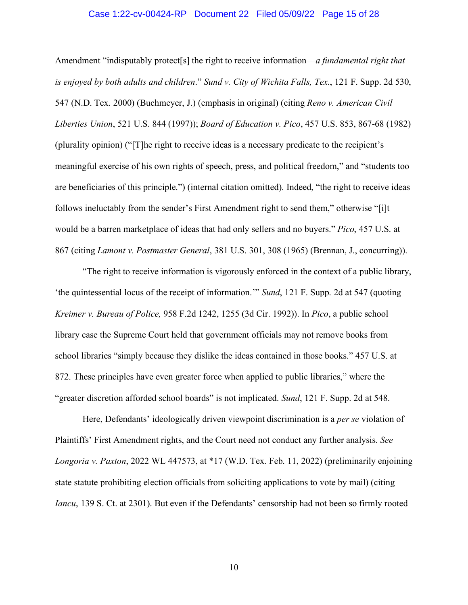#### Case 1:22-cv-00424-RP Document 22 Filed 05/09/22 Page 15 of 28

Amendment "indisputably protect[s] the right to receive information—*a fundamental right that is enjoyed by both adults and children*." *Sund v. City of Wichita Falls, Tex*., 121 F. Supp. 2d 530, 547 (N.D. Tex. 2000) (Buchmeyer, J.) (emphasis in original) (citing *Reno v. American Civil Liberties Union*, 521 U.S. 844 (1997)); *Board of Education v. Pico*, 457 U.S. 853, 867-68 (1982) (plurality opinion) ("[T]he right to receive ideas is a necessary predicate to the recipient's meaningful exercise of his own rights of speech, press, and political freedom," and "students too are beneficiaries of this principle.") (internal citation omitted). Indeed, "the right to receive ideas follows ineluctably from the sender's First Amendment right to send them," otherwise "[i]t would be a barren marketplace of ideas that had only sellers and no buyers." *Pico*, 457 U.S. at 867 (citing *Lamont v. Postmaster General*, 381 U.S. 301, 308 (1965) (Brennan, J., concurring)).

"The right to receive information is vigorously enforced in the context of a public library, 'the quintessential locus of the receipt of information.'" *Sund*, 121 F. Supp. 2d at 547 (quoting *Kreimer v. Bureau of Police,* 958 F.2d 1242, 1255 (3d Cir. 1992)). In *Pico*, a public school library case the Supreme Court held that government officials may not remove books from school libraries "simply because they dislike the ideas contained in those books." 457 U.S. at 872. These principles have even greater force when applied to public libraries," where the "greater discretion afforded school boards" is not implicated. *Sund*, 121 F. Supp. 2d at 548.

Here, Defendants' ideologically driven viewpoint discrimination is a *per se* violation of Plaintiffs' First Amendment rights, and the Court need not conduct any further analysis. *See Longoria v. Paxton*, 2022 WL 447573, at \*17 (W.D. Tex. Feb. 11, 2022) (preliminarily enjoining state statute prohibiting election officials from soliciting applications to vote by mail) (citing *Iancu*, 139 S. Ct. at 2301). But even if the Defendants' censorship had not been so firmly rooted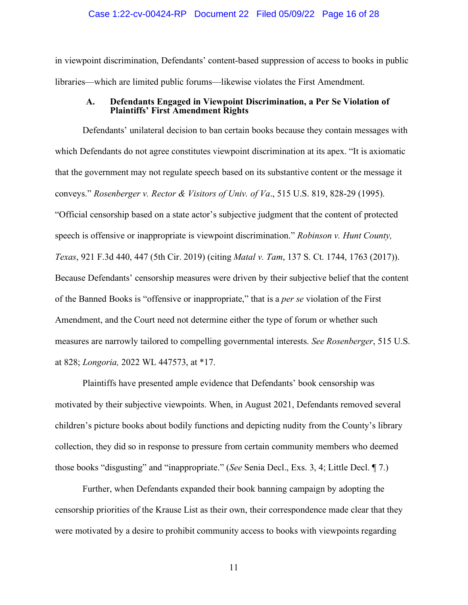#### Case 1:22-cv-00424-RP Document 22 Filed 05/09/22 Page 16 of 28

in viewpoint discrimination, Defendants' content-based suppression of access to books in public libraries—which are limited public forums—likewise violates the First Amendment.

#### **A. Defendants Engaged in Viewpoint Discrimination, a Per Se Violation of Plaintiffs' First Amendment Rights**

<span id="page-15-0"></span>Defendants' unilateral decision to ban certain books because they contain messages with which Defendants do not agree constitutes viewpoint discrimination at its apex. "It is axiomatic that the government may not regulate speech based on its substantive content or the message it conveys." *Rosenberger v. Rector & Visitors of Univ. of Va*., 515 U.S. 819, 828-29 (1995). "Official censorship based on a state actor's subjective judgment that the content of protected speech is offensive or inappropriate is viewpoint discrimination." *Robinson v. Hunt County, Texas*, 921 F.3d 440, 447 (5th Cir. 2019) (citing *Matal v. Tam*, 137 S. Ct. 1744, 1763 (2017)). Because Defendants' censorship measures were driven by their subjective belief that the content of the Banned Books is "offensive or inappropriate," that is a *per se* violation of the First Amendment, and the Court need not determine either the type of forum or whether such measures are narrowly tailored to compelling governmental interests. *See Rosenberger*, 515 U.S. at 828; *Longoria,* 2022 WL 447573, at \*17.

Plaintiffs have presented ample evidence that Defendants' book censorship was motivated by their subjective viewpoints. When, in August 2021, Defendants removed several children's picture books about bodily functions and depicting nudity from the County's library collection, they did so in response to pressure from certain community members who deemed those books "disgusting" and "inappropriate." (*See* Senia Decl., Exs. 3, 4; Little Decl. ¶ 7.)

 Further, when Defendants expanded their book banning campaign by adopting the censorship priorities of the Krause List as their own, their correspondence made clear that they were motivated by a desire to prohibit community access to books with viewpoints regarding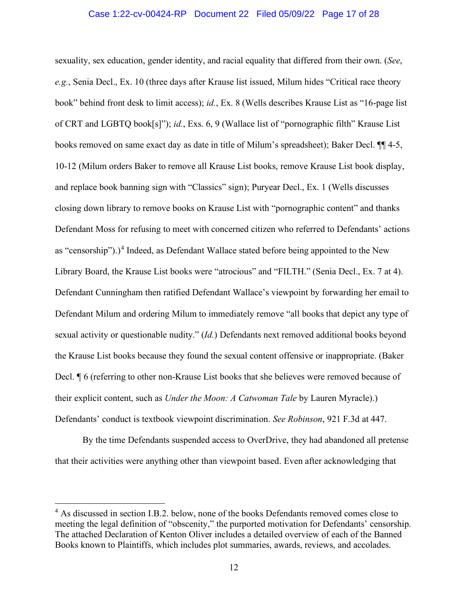#### Case 1:22-cv-00424-RP Document 22 Filed 05/09/22 Page 17 of 28

sexuality, sex education, gender identity, and racial equality that differed from their own. (*See*, *e.g.*, Senia Decl., Ex. 10 (three days after Krause list issued, Milum hides "Critical race theory book" behind front desk to limit access); *id.*, Ex. 8 (Wells describes Krause List as "16-page list of CRT and LGBTQ book[s]"); *id.*, Exs. 6, 9 (Wallace list of "pornographic filth" Krause List books removed on same exact day as date in title of Milum's spreadsheet); Baker Decl. ¶¶ 4-5, 10-12 (Milum orders Baker to remove all Krause List books, remove Krause List book display, and replace book banning sign with "Classics" sign); Puryear Decl., Ex. 1 (Wells discusses closing down library to remove books on Krause List with "pornographic content" and thanks Defendant Moss for refusing to meet with concerned citizen who referred to Defendants' actions as "censorship").)<sup>[4](#page-16-0)</sup> Indeed, as Defendant Wallace stated before being appointed to the New Library Board, the Krause List books were "atrocious" and "FILTH." (Senia Decl., Ex. 7 at 4). Defendant Cunningham then ratified Defendant Wallace's viewpoint by forwarding her email to Defendant Milum and ordering Milum to immediately remove "all books that depict any type of sexual activity or questionable nudity." (*Id.*) Defendants next removed additional books beyond the Krause List books because they found the sexual content offensive or inappropriate. (Baker Decl. ¶ 6 (referring to other non-Krause List books that she believes were removed because of their explicit content, such as *Under the Moon: A Catwoman Tale* by Lauren Myracle).) Defendants' conduct is textbook viewpoint discrimination. *See Robinson*, 921 F.3d at 447.

By the time Defendants suspended access to OverDrive, they had abandoned all pretense that their activities were anything other than viewpoint based. Even after acknowledging that

<span id="page-16-0"></span><sup>&</sup>lt;sup>4</sup> As discussed in section I.B.2. below, none of the books Defendants removed comes close to meeting the legal definition of "obscenity," the purported motivation for Defendants' censorship. The attached Declaration of Kenton Oliver includes a detailed overview of each of the Banned Books known to Plaintiffs, which includes plot summaries, awards, reviews, and accolades.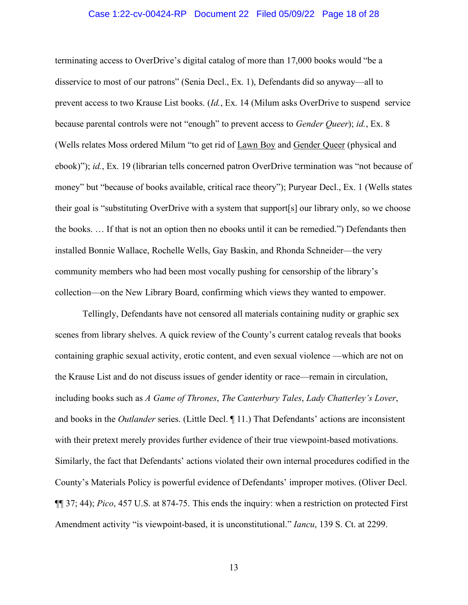#### Case 1:22-cv-00424-RP Document 22 Filed 05/09/22 Page 18 of 28

terminating access to OverDrive's digital catalog of more than 17,000 books would "be a disservice to most of our patrons" (Senia Decl., Ex. 1), Defendants did so anyway—all to prevent access to two Krause List books. (*Id.*, Ex. 14 (Milum asks OverDrive to suspend service because parental controls were not "enough" to prevent access to *Gender Queer*); *id.*, Ex. 8 (Wells relates Moss ordered Milum "to get rid of Lawn Boy and Gender Queer (physical and ebook)"); *id.*, Ex. 19 (librarian tells concerned patron OverDrive termination was "not because of money" but "because of books available, critical race theory"); Puryear Decl., Ex. 1 (Wells states their goal is "substituting OverDrive with a system that support[s] our library only, so we choose the books. … If that is not an option then no ebooks until it can be remedied.") Defendants then installed Bonnie Wallace, Rochelle Wells, Gay Baskin, and Rhonda Schneider—the very community members who had been most vocally pushing for censorship of the library's collection—on the New Library Board, confirming which views they wanted to empower.

Tellingly, Defendants have not censored all materials containing nudity or graphic sex scenes from library shelves. A quick review of the County's current catalog reveals that books containing graphic sexual activity, erotic content, and even sexual violence —which are not on the Krause List and do not discuss issues of gender identity or race—remain in circulation, including books such as *A Game of Thrones*, *The Canterbury Tales*, *Lady Chatterley's Lover*, and books in the *Outlander* series. (Little Decl. ¶ 11.) That Defendants' actions are inconsistent with their pretext merely provides further evidence of their true viewpoint-based motivations. Similarly, the fact that Defendants' actions violated their own internal procedures codified in the County's Materials Policy is powerful evidence of Defendants' improper motives. (Oliver Decl. ¶¶ 37; 44); *Pico*, 457 U.S. at 874-75. This ends the inquiry: when a restriction on protected First Amendment activity "is viewpoint-based, it is unconstitutional." *Iancu*, 139 S. Ct. at 2299.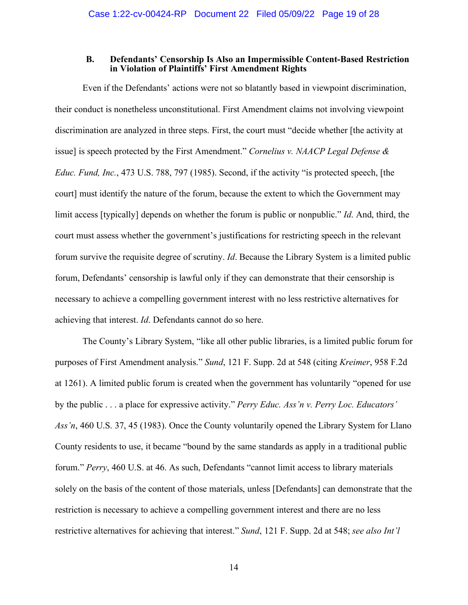#### **B. Defendants' Censorship Is Also an Impermissible Content-Based Restriction in Violation of Plaintiffs' First Amendment Rights**

<span id="page-18-0"></span>Even if the Defendants' actions were not so blatantly based in viewpoint discrimination, their conduct is nonetheless unconstitutional. First Amendment claims not involving viewpoint discrimination are analyzed in three steps. First, the court must "decide whether [the activity at issue] is speech protected by the First Amendment." *Cornelius v. NAACP Legal Defense & Educ. Fund, Inc.*, 473 U.S. 788, 797 (1985). Second, if the activity "is protected speech, [the court] must identify the nature of the forum, because the extent to which the Government may limit access [typically] depends on whether the forum is public or nonpublic." *Id*. And, third, the court must assess whether the government's justifications for restricting speech in the relevant forum survive the requisite degree of scrutiny. *Id*. Because the Library System is a limited public forum, Defendants' censorship is lawful only if they can demonstrate that their censorship is necessary to achieve a compelling government interest with no less restrictive alternatives for achieving that interest. *Id*. Defendants cannot do so here.

The County's Library System, "like all other public libraries, is a limited public forum for purposes of First Amendment analysis." *Sund*, 121 F. Supp. 2d at 548 (citing *Kreimer*, 958 F.2d at 1261). A limited public forum is created when the government has voluntarily "opened for use by the public . . . a place for expressive activity." *Perry Educ. Ass'n v. Perry Loc. Educators' Ass'n*, 460 U.S. 37, 45 (1983). Once the County voluntarily opened the Library System for Llano County residents to use, it became "bound by the same standards as apply in a traditional public forum." *Perry*, 460 U.S. at 46. As such, Defendants "cannot limit access to library materials solely on the basis of the content of those materials, unless [Defendants] can demonstrate that the restriction is necessary to achieve a compelling government interest and there are no less restrictive alternatives for achieving that interest." *Sund*, 121 F. Supp. 2d at 548; *see also Int'l*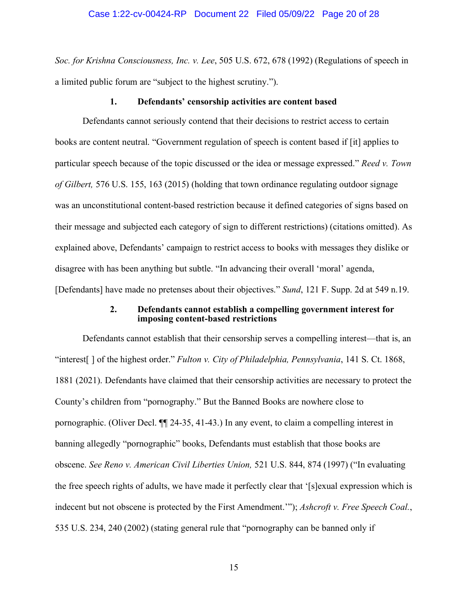*Soc. for Krishna Consciousness, Inc. v. Lee*, 505 U.S. 672, 678 (1992) (Regulations of speech in a limited public forum are "subject to the highest scrutiny.").

#### **1. Defendants' censorship activities are content based**

<span id="page-19-0"></span>Defendants cannot seriously contend that their decisions to restrict access to certain books are content neutral. "Government regulation of speech is content based if [it] applies to particular speech because of the topic discussed or the idea or message expressed." *Reed v. Town of Gilbert,* 576 U.S. 155, 163 (2015) (holding that town ordinance regulating outdoor signage was an unconstitutional content-based restriction because it defined categories of signs based on their message and subjected each category of sign to different restrictions) (citations omitted). As explained above, Defendants' campaign to restrict access to books with messages they dislike or disagree with has been anything but subtle. "In advancing their overall 'moral' agenda, [Defendants] have made no pretenses about their objectives." *Sund*, 121 F. Supp. 2d at 549 n.19.

#### **2. Defendants cannot establish a compelling government interest for imposing content-based restrictions**

<span id="page-19-1"></span>Defendants cannot establish that their censorship serves a compelling interest—that is, an "interest[ ] of the highest order." *Fulton v. City of Philadelphia, Pennsylvania*, 141 S. Ct. 1868, 1881 (2021). Defendants have claimed that their censorship activities are necessary to protect the County's children from "pornography." But the Banned Books are nowhere close to pornographic. (Oliver Decl. ¶¶ 24-35, 41-43.) In any event, to claim a compelling interest in banning allegedly "pornographic" books, Defendants must establish that those books are obscene. *See Reno v. American Civil Liberties Union,* 521 U.S. 844, 874 (1997) ("In evaluating the free speech rights of adults, we have made it perfectly clear that '[s]exual expression which is indecent but not obscene is protected by the First Amendment.'"); *Ashcroft v. Free Speech Coal.*, 535 U.S. 234, 240 (2002) (stating general rule that "pornography can be banned only if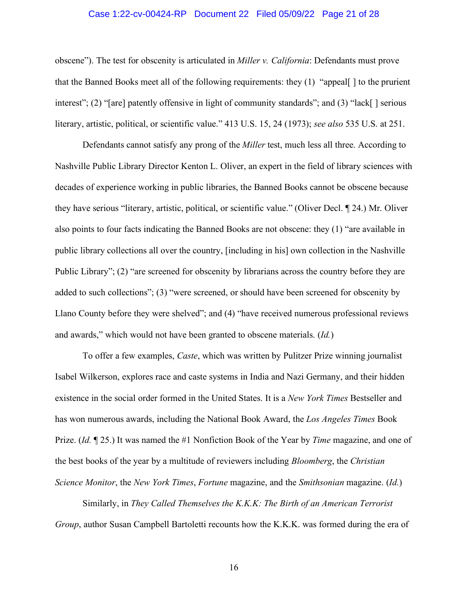#### Case 1:22-cv-00424-RP Document 22 Filed 05/09/22 Page 21 of 28

obscene"). The test for obscenity is articulated in *Miller v. California*: Defendants must prove that the Banned Books meet all of the following requirements: they (1) "appeal[ ] to the prurient interest"; (2) "[are] patently offensive in light of community standards"; and (3) "lack[] serious literary, artistic, political, or scientific value." 413 U.S. 15, 24 (1973); *see also* 535 U.S. at 251.

Defendants cannot satisfy any prong of the *Miller* test, much less all three. According to Nashville Public Library Director Kenton L. Oliver, an expert in the field of library sciences with decades of experience working in public libraries, the Banned Books cannot be obscene because they have serious "literary, artistic, political, or scientific value." (Oliver Decl. ¶ 24.) Mr. Oliver also points to four facts indicating the Banned Books are not obscene: they (1) "are available in public library collections all over the country, [including in his] own collection in the Nashville Public Library"; (2) "are screened for obscenity by librarians across the country before they are added to such collections"; (3) "were screened, or should have been screened for obscenity by Llano County before they were shelved"; and (4) "have received numerous professional reviews and awards," which would not have been granted to obscene materials. (*Id.*)

To offer a few examples, *Caste*, which was written by Pulitzer Prize winning journalist Isabel Wilkerson, explores race and caste systems in India and Nazi Germany, and their hidden existence in the social order formed in the United States. It is a *New York Times* Bestseller and has won numerous awards, including the National Book Award, the *Los Angeles Times* Book Prize. (*Id.* ¶ 25.) It was named the #1 Nonfiction Book of the Year by *Time* magazine, and one of the best books of the year by a multitude of reviewers including *Bloomberg*, the *Christian Science Monitor*, the *New York Times*, *Fortune* magazine, and the *Smithsonian* magazine. (*Id.*)

Similarly, in *They Called Themselves the K.K.K: The Birth of an American Terrorist Group*, author Susan Campbell Bartoletti recounts how the K.K.K. was formed during the era of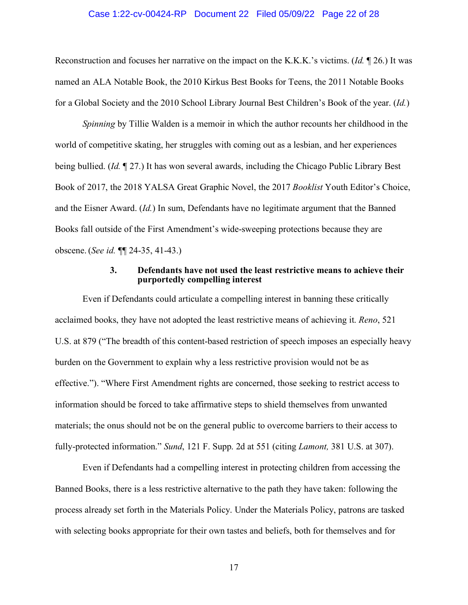#### Case 1:22-cv-00424-RP Document 22 Filed 05/09/22 Page 22 of 28

Reconstruction and focuses her narrative on the impact on the K.K.K.'s victims. (*Id.* ¶ 26.) It was named an ALA Notable Book, the 2010 Kirkus Best Books for Teens, the 2011 Notable Books for a Global Society and the 2010 School Library Journal Best Children's Book of the year. (*Id.*)

*Spinning* by Tillie Walden is a memoir in which the author recounts her childhood in the world of competitive skating, her struggles with coming out as a lesbian, and her experiences being bullied. (*Id.* ¶ 27.) It has won several awards, including the Chicago Public Library Best Book of 2017, the 2018 YALSA Great Graphic Novel, the 2017 *Booklist* Youth Editor's Choice, and the Eisner Award. (*Id.*) In sum, Defendants have no legitimate argument that the Banned Books fall outside of the First Amendment's wide-sweeping protections because they are obscene. (*See id.* ¶¶ 24-35, 41-43.)

#### **3. Defendants have not used the least restrictive means to achieve their purportedly compelling interest**

<span id="page-21-0"></span>Even if Defendants could articulate a compelling interest in banning these critically acclaimed books, they have not adopted the least restrictive means of achieving it. *Reno*, 521 U.S. at 879 ("The breadth of this content-based restriction of speech imposes an especially heavy burden on the Government to explain why a less restrictive provision would not be as effective."). "Where First Amendment rights are concerned, those seeking to restrict access to information should be forced to take affirmative steps to shield themselves from unwanted materials; the onus should not be on the general public to overcome barriers to their access to fully-protected information." *Sund*, 121 F. Supp. 2d at 551 (citing *Lamont,* 381 U.S. at 307).

Even if Defendants had a compelling interest in protecting children from accessing the Banned Books, there is a less restrictive alternative to the path they have taken: following the process already set forth in the Materials Policy. Under the Materials Policy, patrons are tasked with selecting books appropriate for their own tastes and beliefs, both for themselves and for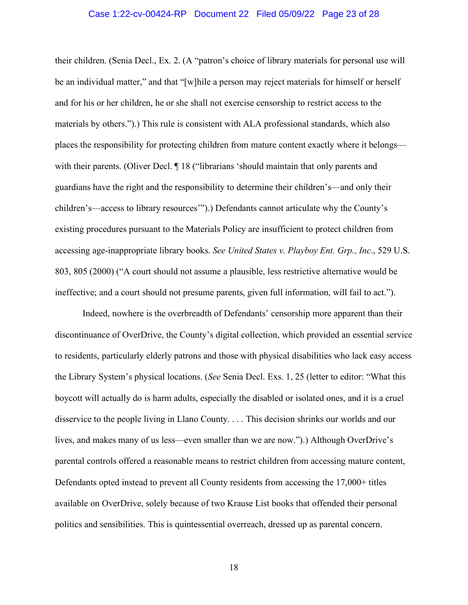#### Case 1:22-cv-00424-RP Document 22 Filed 05/09/22 Page 23 of 28

their children. (Senia Decl., Ex. 2. (A "patron's choice of library materials for personal use will be an individual matter," and that "[w]hile a person may reject materials for himself or herself and for his or her children, he or she shall not exercise censorship to restrict access to the materials by others.").) This rule is consistent with ALA professional standards, which also places the responsibility for protecting children from mature content exactly where it belongs with their parents. (Oliver Decl. ¶ 18 ("librarians 'should maintain that only parents and guardians have the right and the responsibility to determine their children's—and only their children's—access to library resources'").) Defendants cannot articulate why the County's existing procedures pursuant to the Materials Policy are insufficient to protect children from accessing age-inappropriate library books. *See United States v. Playboy Ent. Grp., Inc*., 529 U.S. 803, 805 (2000) ("A court should not assume a plausible, less restrictive alternative would be ineffective; and a court should not presume parents, given full information, will fail to act.").

Indeed, nowhere is the overbreadth of Defendants' censorship more apparent than their discontinuance of OverDrive, the County's digital collection, which provided an essential service to residents, particularly elderly patrons and those with physical disabilities who lack easy access the Library System's physical locations. (*See* Senia Decl. Exs. 1, 25 (letter to editor: "What this boycott will actually do is harm adults, especially the disabled or isolated ones, and it is a cruel disservice to the people living in Llano County. . . . This decision shrinks our worlds and our lives, and makes many of us less—even smaller than we are now.").) Although OverDrive's parental controls offered a reasonable means to restrict children from accessing mature content, Defendants opted instead to prevent all County residents from accessing the 17,000+ titles available on OverDrive, solely because of two Krause List books that offended their personal politics and sensibilities. This is quintessential overreach, dressed up as parental concern.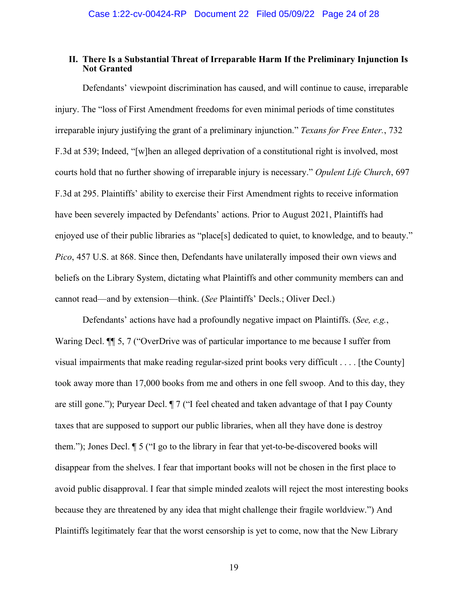## <span id="page-23-0"></span>**II. There Is a Substantial Threat of Irreparable Harm If the Preliminary Injunction Is Not Granted**

Defendants' viewpoint discrimination has caused, and will continue to cause, irreparable injury. The "loss of First Amendment freedoms for even minimal periods of time constitutes irreparable injury justifying the grant of a preliminary injunction." *Texans for Free Enter.*, 732 F.3d at 539; Indeed, "[w]hen an alleged deprivation of a constitutional right is involved, most courts hold that no further showing of irreparable injury is necessary." *Opulent Life Church*, 697 F.3d at 295. Plaintiffs' ability to exercise their First Amendment rights to receive information have been severely impacted by Defendants' actions. Prior to August 2021, Plaintiffs had enjoyed use of their public libraries as "place<sup>[s]</sup> dedicated to quiet, to knowledge, and to beauty." *Pico*, 457 U.S. at 868. Since then, Defendants have unilaterally imposed their own views and beliefs on the Library System, dictating what Plaintiffs and other community members can and cannot read—and by extension—think. (*See* Plaintiffs' Decls.; Oliver Decl.)

Defendants' actions have had a profoundly negative impact on Plaintiffs. (*See, e.g.*, Waring Decl. ¶¶ 5, 7 ("OverDrive was of particular importance to me because I suffer from visual impairments that make reading regular-sized print books very difficult . . . . [the County] took away more than 17,000 books from me and others in one fell swoop. And to this day, they are still gone."); Puryear Decl. ¶ 7 ("I feel cheated and taken advantage of that I pay County taxes that are supposed to support our public libraries, when all they have done is destroy them."); Jones Decl. ¶ 5 ("I go to the library in fear that yet-to-be-discovered books will disappear from the shelves. I fear that important books will not be chosen in the first place to avoid public disapproval. I fear that simple minded zealots will reject the most interesting books because they are threatened by any idea that might challenge their fragile worldview.") And Plaintiffs legitimately fear that the worst censorship is yet to come, now that the New Library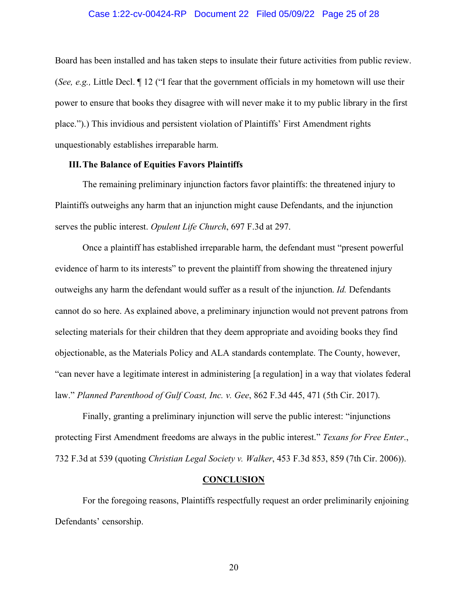#### Case 1:22-cv-00424-RP Document 22 Filed 05/09/22 Page 25 of 28

Board has been installed and has taken steps to insulate their future activities from public review. (*See, e.g.,* Little Decl. ¶ 12 ("I fear that the government officials in my hometown will use their power to ensure that books they disagree with will never make it to my public library in the first place.").) This invidious and persistent violation of Plaintiffs' First Amendment rights unquestionably establishes irreparable harm.

#### <span id="page-24-0"></span>**III.The Balance of Equities Favors Plaintiffs**

The remaining preliminary injunction factors favor plaintiffs: the threatened injury to Plaintiffs outweighs any harm that an injunction might cause Defendants, and the injunction serves the public interest. *Opulent Life Church*, 697 F.3d at 297.

Once a plaintiff has established irreparable harm, the defendant must "present powerful evidence of harm to its interests" to prevent the plaintiff from showing the threatened injury outweighs any harm the defendant would suffer as a result of the injunction. *Id.* Defendants cannot do so here. As explained above, a preliminary injunction would not prevent patrons from selecting materials for their children that they deem appropriate and avoiding books they find objectionable, as the Materials Policy and ALA standards contemplate. The County, however, "can never have a legitimate interest in administering [a regulation] in a way that violates federal law." *Planned Parenthood of Gulf Coast, Inc. v. Gee*, 862 F.3d 445, 471 (5th Cir. 2017).

Finally, granting a preliminary injunction will serve the public interest: "injunctions protecting First Amendment freedoms are always in the public interest." *Texans for Free Enter*., 732 F.3d at 539 (quoting *Christian Legal Society v. Walker*, 453 F.3d 853, 859 (7th Cir. 2006)).

#### **CONCLUSION**

<span id="page-24-1"></span>For the foregoing reasons, Plaintiffs respectfully request an order preliminarily enjoining Defendants' censorship.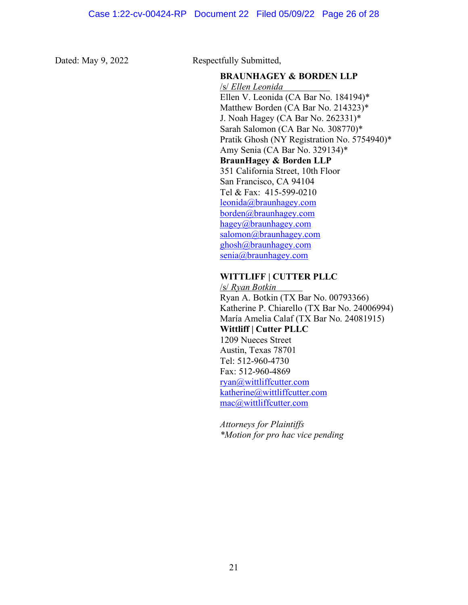Dated: May 9, 2022 Respectfully Submitted,

### **BRAUNHAGEY & BORDEN LLP**

/s/ *Ellen Leonida* Ellen V. Leonida (CA Bar No. 184194)\* Matthew Borden (CA Bar No. 214323)\* J. Noah Hagey (CA Bar No. 262331)\* Sarah Salomon (CA Bar No. 308770)\* Pratik Ghosh (NY Registration No. 5754940)\* Amy Senia (CA Bar No. 329134)\* **BraunHagey & Borden LLP** 351 California Street, 10th Floor San Francisco, CA 94104 Tel & Fax: 415-599-0210 [leonida@braunhagey.com](mailto:leonida@braunhagey.com) [borden@braunhagey.com](mailto:borden@braunhagey.com) hagey@braunhagey.com [salomon@braunhagey.com](mailto:salomon@braunhagey.com) ghosh@braunhagey.com [senia@braunhagey.com](mailto:senia@braunhagey.com)

# **WITTLIFF | CUTTER PLLC**

/s/ *Ryan Botkin* Ryan A. Botkin (TX Bar No. 00793366) Katherine P. Chiarello (TX Bar No. 24006994) María Amelia Calaf (TX Bar No. 24081915) **Wittliff | Cutter PLLC** 1209 Nueces Street Austin, Texas 78701 Tel: 512-960-4730 Fax: 512-960-4869 [ryan@wittliffcutter.com](mailto:ryan@wittliffcutter.com) katherine@wittliffcutter.com [mac@wittliffcutter.com](mailto:mac@wittliffcutter.com)

*Attorneys for Plaintiffs \*Motion for pro hac vice pending*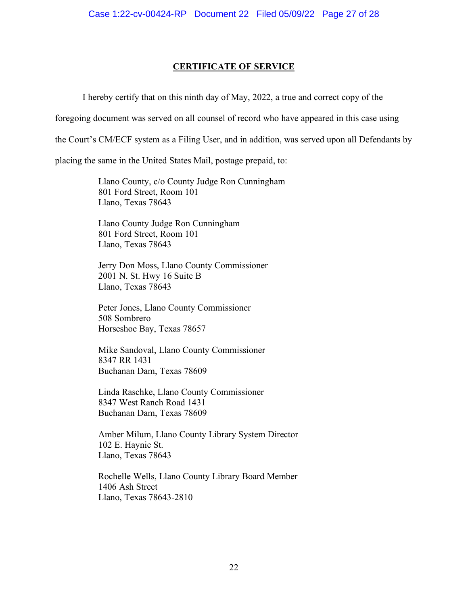# **CERTIFICATE OF SERVICE**

I hereby certify that on this ninth day of May, 2022, a true and correct copy of the

foregoing document was served on all counsel of record who have appeared in this case using

the Court's CM/ECF system as a Filing User, and in addition, was served upon all Defendants by

placing the same in the United States Mail, postage prepaid, to:

Llano County, c/o County Judge Ron Cunningham 801 Ford Street, Room 101 Llano, Texas 78643

Llano County Judge Ron Cunningham 801 Ford Street, Room 101 Llano, Texas 78643

Jerry Don Moss, Llano County Commissioner 2001 N. St. Hwy 16 Suite B Llano, Texas 78643

Peter Jones, Llano County Commissioner 508 Sombrero Horseshoe Bay, Texas 78657

Mike Sandoval, Llano County Commissioner 8347 RR 1431 Buchanan Dam, Texas 78609

Linda Raschke, Llano County Commissioner 8347 West Ranch Road 1431 Buchanan Dam, Texas 78609

Amber Milum, Llano County Library System Director 102 E. Haynie St. Llano, Texas 78643

Rochelle Wells, Llano County Library Board Member 1406 Ash Street Llano, Texas 78643-2810